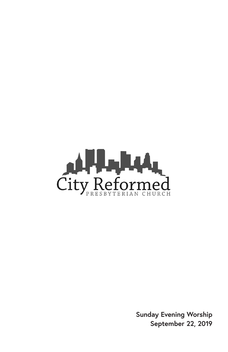

**Sunday Evening Worship September 22, 2019**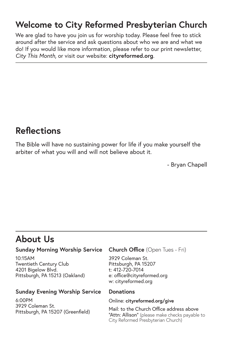## **Welcome to City Reformed Presbyterian Church**

We are glad to have you join us for worship today. Please feel free to stick around after the service and ask questions about who we are and what we do! If you would like more information, please refer to our print newsletter, *City This Month,* or visit our website: **cityreformed.org**.

# **Reflections**

The Bible will have no sustaining power for life if you make yourself the arbiter of what you will and will not believe about it.

- Bryan Chapell

# **About Us**

#### **Sunday Morning Worship Service**

10:15AM Twentieth Century Club 4201 Bigelow Blvd. Pittsburgh, PA 15213 (Oakland)

#### **Sunday Evening Worship Service**

6:00PM 3929 Coleman St. Pittsburgh, PA 15207 (Greenfield)

#### **Church Office** (Open Tues - Fri)

3929 Coleman St. Pittsburgh, PA 15207 t: 412-720-7014 e: office@cityreformed.org w: cityreformed.org

#### **Donations**

Online: **cityreformed.org/give**

Mail: to the Church Office address above "Attn: Allison" (please make checks payable to City Reformed Presbyterian Church)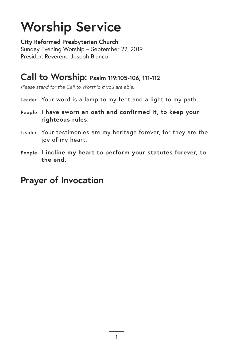# **Worship Service**

**City Reformed Presbyterian Church** Sunday Evening Worship – September 22, 2019 Presider: Reverend Joseph Bianco

#### **Call to Worship: Psalm 119:105-106, 111-112**

*Please stand for the Call to Worship if you are able.*

- Leader Your word is a lamp to my feet and a light to my path.
- **People I have sworn an oath and confirmed it, to keep your righteous rules.**
- Leader Your testimonies are my heritage forever, for they are the joy of my heart.
- **People I incline my heart to perform your statutes forever, to the end.**

#### **Prayer of Invocation**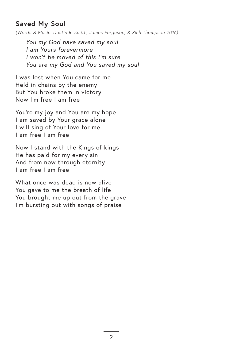#### **Saved My Soul**

*(Words & Music: Dustin R. Smith, James Ferguson, & Rich Thompson 2016)*

*You my God have saved my soul I am Yours forevermore I won't be moved of this I'm sure You are my God and You saved my soul*

I was lost when You came for me Held in chains by the enemy But You broke them in victory Now I'm free I am free

You're my joy and You are my hope I am saved by Your grace alone I will sing of Your love for me I am free I am free

Now I stand with the Kings of kings He has paid for my every sin And from now through eternity I am free I am free

What once was dead is now alive You gave to me the breath of life You brought me up out from the grave I'm bursting out with songs of praise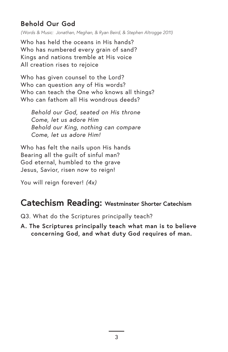#### **Behold Our God**

*(Words & Music: Jonathan, Meghan, & Ryan Beird, & Stephen Altrogge 2011)*

Who has held the oceans in His hands? Who has numbered every grain of sand? Kings and nations tremble at His voice All creation rises to rejoice

Who has given counsel to the Lord? Who can question any of His words? Who can teach the One who knows all things? Who can fathom all His wondrous deeds?

*Behold our God, seated on His throne Come, let us adore Him Behold our King, nothing can compare Come, let us adore Him!*

Who has felt the nails upon His hands Bearing all the guilt of sinful man? God eternal, humbled to the grave Jesus, Savior, risen now to reign!

You will reign forever! *(4x)*

### **Catechism Reading: Westminster Shorter Catechism**

Q3. What do the Scriptures principally teach?

**A. The Scriptures principally teach what man is to believe concerning God, and what duty God requires of man.**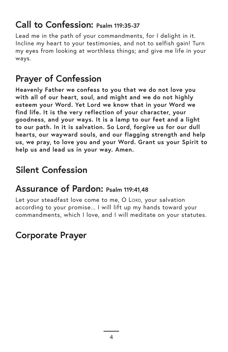# **Call to Confession: Psalm 119:35-37**

Lead me in the path of your commandments, for I delight in it. Incline my heart to your testimonies, and not to selfish gain! Turn my eyes from looking at worthless things; and give me life in your ways.

# **Prayer of Confession**

**Heavenly Father we confess to you that we do not love you with all of our heart, soul, and might and we do not highly esteem your Word. Yet Lord we know that in your Word we find life. It is the very reflection of your character, your goodness, and your ways. It is a lamp to our feet and a light to our path. In it is salvation. So Lord, forgive us for our dull hearts, our wayward souls, and our flagging strength and help us, we pray, to love you and your Word. Grant us your Spirit to help us and lead us in your way. Amen.** 

# **Silent Confession**

### **Assurance of Pardon: Psalm 119:41,48**

Let your steadfast love come to me, O LORD, your salvation according to your promise... I will lift up my hands toward your commandments, which I love, and I will meditate on your statutes.

# **Corporate Prayer**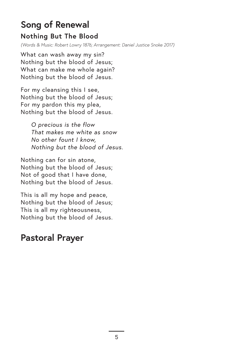### **Song of Renewal Nothing But The Blood**

*(Words & Music: Robert Lowry 1876; Arrangement: Daniel Justice Snoke 2017)*

What can wash away my sin? Nothing but the blood of Jesus; What can make me whole again? Nothing but the blood of Jesus.

For my cleansing this I see, Nothing but the blood of Jesus; For my pardon this my plea, Nothing but the blood of Jesus.

> *O precious is the flow That makes me white as snow No other fount I know, Nothing but the blood of Jesus.*

Nothing can for sin atone, Nothing but the blood of Jesus; Not of good that I have done, Nothing but the blood of Jesus.

This is all my hope and peace, Nothing but the blood of Jesus; This is all my righteousness, Nothing but the blood of Jesus.

### **Pastoral Prayer**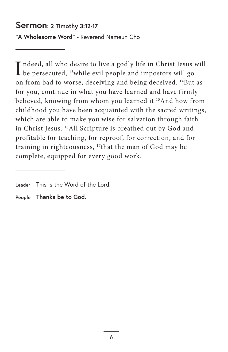#### **Sermon: 2 Timothy 3:12-17**

**"A Wholesome Word"** - Reverend Nameun Cho

 $\prod_{i=1}^{n} \text{ R.}$  Indeed, all who desire to live a godly life in Christ Jesus<br>be persecuted, <sup>13</sup>while evil people and impostors will go  $\mathbf T$  ndeed, all who desire to live a godly life in Christ Jesus will on from bad to worse, deceiving and being deceived. 14But as for you, continue in what you have learned and have firmly believed, knowing from whom you learned it 15And how from childhood you have been acquainted with the sacred writings, which are able to make you wise for salvation through faith in Christ Jesus. 16All Scripture is breathed out by God and profitable for teaching, for reproof, for correction, and for training in righteousness, 17that the man of God may be complete, equipped for every good work.

Leader This is the Word of the Lord.

**People Thanks be to God.**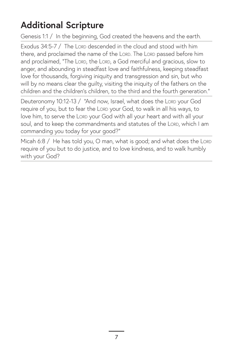# **Additional Scripture**

Genesis 1:1 / In the beginning, God created the heavens and the earth.

Exodus 34:5-7 / The Lorp descended in the cloud and stood with him there, and proclaimed the name of the LORD. The LORD passed before him and proclaimed, "The LORD, the LORD, a God merciful and gracious, slow to anger, and abounding in steadfast love and faithfulness, keeping steadfast love for thousands, forgiving iniquity and transgression and sin, but who will by no means clear the guilty, visiting the iniquity of the fathers on the children and the children's children, to the third and the fourth generation."

Deuteronomy 10:12-13 / "And now, Israel, what does the Lord your God require of you, but to fear the Lord your God, to walk in all his ways, to love him, to serve the LORD your God with all your heart and with all your soul, and to keep the commandments and statutes of the LORD, which I am commanding you today for your good?"

Micah 6:8 / He has told you, O man, what is good; and what does the Lord require of you but to do justice, and to love kindness, and to walk humbly with your God?